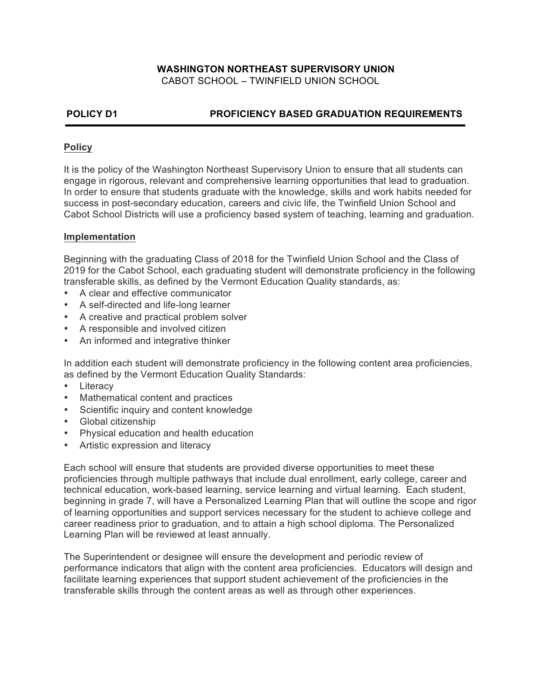# **WASHINGTON NORTHEAST SUPERVISORY UNION**

CABOT SCHOOL – TWINFIELD UNION SCHOOL

# **POLICY D1 PROFICIENCY BASED GRADUATION REQUIREMENTS**

## **Policy**

It is the policy of the Washington Northeast Supervisory Union to ensure that all students can engage in rigorous, relevant and comprehensive learning opportunities that lead to graduation. In order to ensure that students graduate with the knowledge, skills and work habits needed for success in post-secondary education, careers and civic life, the Twinfield Union School and Cabot School Districts will use a proficiency based system of teaching, learning and graduation.

### **Implementation**

Beginning with the graduating Class of 2018 for the Twinfield Union School and the Class of 2019 for the Cabot School, each graduating student will demonstrate proficiency in the following transferable skills, as defined by the Vermont Education Quality standards, as:

- A clear and effective communicator
- A self-directed and life-long learner
- A creative and practical problem solver
- A responsible and involved citizen
- An informed and integrative thinker

In addition each student will demonstrate proficiency in the following content area proficiencies, as defined by the Vermont Education Quality Standards:

- Literacy
- Mathematical content and practices
- Scientific inquiry and content knowledge
- Global citizenship
- Physical education and health education
- Artistic expression and literacy

Each school will ensure that students are provided diverse opportunities to meet these proficiencies through multiple pathways that include dual enrollment, early college, career and technical education, work-based learning, service learning and virtual learning. Each student, beginning in grade 7, will have a Personalized Learning Plan that will outline the scope and rigor of learning opportunities and support services necessary for the student to achieve college and career readiness prior to graduation, and to attain a high school diploma. The Personalized Learning Plan will be reviewed at least annually.

The Superintendent or designee will ensure the development and periodic review of performance indicators that align with the content area proficiencies. Educators will design and facilitate learning experiences that support student achievement of the proficiencies in the transferable skills through the content areas as well as through other experiences.